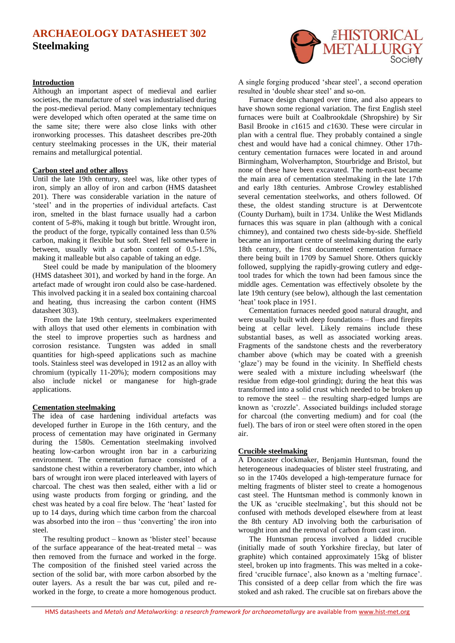# **ARCHAEOLOGY DATASHEET 302 Steelmaking**

### **Introduction**

Although an important aspect of medieval and earlier societies, the manufacture of steel was industrialised during the post-medieval period. Many complementary techniques were developed which often operated at the same time on the same site; there were also close links with other ironworking processes. This datasheet describes pre-20th century steelmaking processes in the UK, their material remains and metallurgical potential.

### **Carbon steel and other alloys**

Until the late 19th century, steel was, like other types of iron, simply an alloy of iron and carbon (HMS datasheet 201). There was considerable variation in the nature of 'steel' and in the properties of individual artefacts. Cast iron, smelted in the blast furnace usually had a carbon content of 5-8%, making it tough but brittle. Wrought iron, the product of the forge, typically contained less than 0.5% carbon, making it flexible but soft. Steel fell somewhere in between, usually with a carbon content of 0.5-1.5%, making it malleable but also capable of taking an edge.

Steel could be made by manipulation of the bloomery (HMS datasheet 301), and worked by hand in the forge. An artefact made of wrought iron could also be case-hardened. This involved packing it in a sealed box containing charcoal and heating, thus increasing the carbon content (HMS datasheet 303).

From the late 19th century, steelmakers experimented with alloys that used other elements in combination with the steel to improve properties such as hardness and corrosion resistance. Tungsten was added in small quantities for high-speed applications such as machine tools. Stainless steel was developed in 1912 as an alloy with chromium (typically 11-20%); modern compositions may also include nickel or manganese for high-grade applications.

# **Cementation steelmaking**

The idea of case hardening individual artefacts was developed further in Europe in the 16th century, and the process of cementation may have originated in Germany during the 1580s. Cementation steelmaking involved heating low-carbon wrought iron bar in a carburizing environment. The cementation furnace consisted of a sandstone chest within a reverberatory chamber, into which bars of wrought iron were placed interleaved with layers of charcoal. The chest was then sealed, either with a lid or using waste products from forging or grinding, and the chest was heated by a coal fire below. The 'heat' lasted for up to 14 days, during which time carbon from the charcoal was absorbed into the iron – thus 'converting' the iron into steel.

The resulting product – known as 'blister steel' because of the surface appearance of the heat-treated metal – was then removed from the furnace and worked in the forge. The composition of the finished steel varied across the section of the solid bar, with more carbon absorbed by the outer layers. As a result the bar was cut, piled and reworked in the forge, to create a more homogenous product.



A single forging produced 'shear steel', a second operation resulted in 'double shear steel' and so-on.

Furnace design changed over time, and also appears to have shown some regional variation. The first English steel furnaces were built at Coalbrookdale (Shropshire) by Sir Basil Brooke in *c*1615 and *c*1630. These were circular in plan with a central flue. They probably contained a single chest and would have had a conical chimney. Other 17thcentury cementation furnaces were located in and around Birmingham, Wolverhampton, Stourbridge and Bristol, but none of these have been excavated. The north-east became the main area of cementation steelmaking in the late 17th and early 18th centuries. Ambrose Crowley established several cementation steelworks, and others followed. Of these, the oldest standing structure is at Derwentcote (County Durham), built in 1734. Unlike the West Midlands furnaces this was square in plan (although with a conical chimney), and contained two chests side-by-side. Sheffield became an important centre of steelmaking during the early 18th century, the first documented cementation furnace there being built in 1709 by Samuel Shore. Others quickly followed, supplying the rapidly-growing cutlery and edgetool trades for which the town had been famous since the middle ages. Cementation was effectively obsolete by the late 19th century (see below), although the last cementation 'heat' took place in 1951.

Cementation furnaces needed good natural draught, and were usually built with deep foundations – flues and firepits being at cellar level. Likely remains include these substantial bases, as well as associated working areas. Fragments of the sandstone chests and the reverberatory chamber above (which may be coated with a greenish 'glaze') may be found in the vicinity. In Sheffield chests were sealed with a mixture including wheelswarf (the residue from edge-tool grinding); during the heat this was transformed into a solid crust which needed to be broken up to remove the steel – the resulting sharp-edged lumps are known as 'crozzle'. Associated buildings included storage for charcoal (the converting medium) and for coal (the fuel). The bars of iron or steel were often stored in the open air.

#### **Crucible steelmaking**

A Doncaster clockmaker, Benjamin Huntsman, found the heterogeneous inadequacies of blister steel frustrating, and so in the 1740s developed a high-temperature furnace for melting fragments of blister steel to create a homogenous cast steel. The Huntsman method is commonly known in the UK as 'crucible steelmaking', but this should not be confused with methods developed elsewhere from at least the 8th century AD involving both the carburisation of wrought iron and the removal of carbon from cast iron.

The Huntsman process involved a lidded crucible (initially made of south Yorkshire fireclay, but later of graphite) which contained approximately 15kg of blister steel, broken up into fragments. This was melted in a cokefired 'crucible furnace', also known as a 'melting furnace'. This consisted of a deep cellar from which the fire was stoked and ash raked. The crucible sat on firebars above the